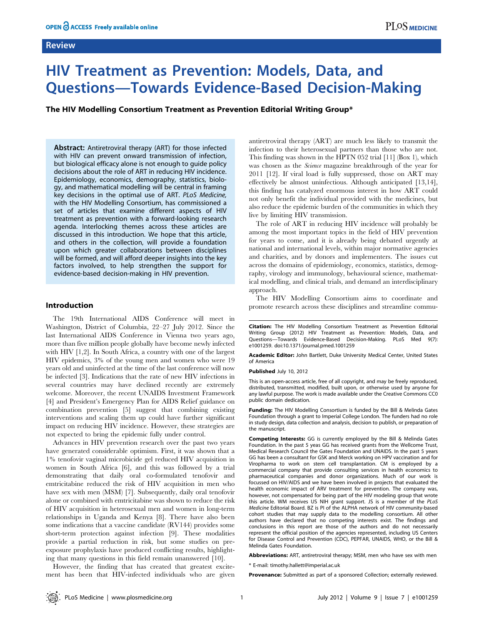# Review

# HIV Treatment as Prevention: Models, Data, and Questions—Towards Evidence-Based Decision-Making

The HIV Modelling Consortium Treatment as Prevention Editorial Writing Group\*

Abstract: Antiretroviral therapy (ART) for those infected with HIV can prevent onward transmission of infection, but biological efficacy alone is not enough to guide policy decisions about the role of ART in reducing HIV incidence. Epidemiology, economics, demography, statistics, biology, and mathematical modelling will be central in framing key decisions in the optimal use of ART. PLoS Medicine, with the HIV Modelling Consortium, has commissioned a set of articles that examine different aspects of HIV treatment as prevention with a forward-looking research agenda. Interlocking themes across these articles are discussed in this introduction. We hope that this article, and others in the collection, will provide a foundation upon which greater collaborations between disciplines will be formed, and will afford deeper insights into the key factors involved, to help strengthen the support for evidence-based decision-making in HIV prevention.

## Introduction

The 19th International AIDS Conference will meet in Washington, District of Columbia, 22–27 July 2012. Since the last International AIDS Conference in Vienna two years ago, more than five million people globally have become newly infected with HIV [1,2]. In South Africa, a country with one of the largest HIV epidemics, 3% of the young men and women who were 19 years old and uninfected at the time of the last conference will now be infected [3]. Indications that the rate of new HIV infections in several countries may have declined recently are extremely welcome. Moreover, the recent UNAIDS Investment Framework [4] and President's Emergency Plan for AIDS Relief guidance on combination prevention [5] suggest that combining existing interventions and scaling them up could have further significant impact on reducing HIV incidence. However, these strategies are not expected to bring the epidemic fully under control.

Advances in HIV prevention research over the past two years have generated considerable optimism. First, it was shown that a 1% tenofovir vaginal microbicide gel reduced HIV acquisition in women in South Africa [6], and this was followed by a trial demonstrating that daily oral co-formulated tenofovir and emtricitabine reduced the risk of HIV acquisition in men who have sex with men (MSM) [7]. Subsequently, daily oral tenofovir alone or combined with emtricitabine was shown to reduce the risk of HIV acquisition in heterosexual men and women in long-term relationships in Uganda and Kenya [8]. There have also been some indications that a vaccine candidate (RV144) provides some short-term protection against infection [9]. These modalities provide a partial reduction in risk, but some studies on preexposure prophylaxis have produced conflicting results, highlighting that many questions in this field remain unanswered [10].

However, the finding that has created that greatest excitement has been that HIV-infected individuals who are given

antiretroviral therapy (ART) are much less likely to transmit the infection to their heterosexual partners than those who are not. This finding was shown in the HPTN 052 trial [11] (Box 1), which was chosen as the *Science* magazine breakthrough of the year for 2011 [12]. If viral load is fully suppressed, those on ART may effectively be almost uninfectious. Although anticipated [13,14], this finding has catalyzed enormous interest in how ART could not only benefit the individual provided with the medicines, but also reduce the epidemic burden of the communities in which they live by limiting HIV transmission.

The role of ART in reducing HIV incidence will probably be among the most important topics in the field of HIV prevention for years to come, and it is already being debated urgently at national and international levels, within major normative agencies and charities, and by donors and implementers. The issues cut across the domains of epidemiology, economics, statistics, demography, virology and immunology, behavioural science, mathematical modelling, and clinical trials, and demand an interdisciplinary approach.

The HIV Modelling Consortium aims to coordinate and promote research across these disciplines and streamline commu-

Academic Editor: John Bartlett, Duke University Medical Center, United States of America

Published July 10, 2012

This is an open-access article, free of all copyright, and may be freely reproduced, distributed, transmitted, modified, built upon, or otherwise used by anyone for any lawful purpose. The work is made available under the Creative Commons CC0 public domain dedication.

Funding: The HIV Modelling Consortium is funded by the Bill & Melinda Gates Foundation through a grant to Imperial College London. The funders had no role in study design, data collection and analysis, decision to publish, or preparation of the manuscript.

Competing Interests: GG is currently employed by the Bill & Melinda Gates Foundation. In the past 5 yeas GG has received grants from the Wellcome Trust, Medical Research Council the Gates Foundation and UNAIDS. In the past 5 years GG has been a consultant for GSK and Merck working on HPV vaccination and for Viropharma to work on stem cell transplantation. CM is employed by a commercial company that provide consulting services in health economics to pharmaceutical companies and donor organizations. Much of our work is focussed on HIV/AIDS and we have been involved in projects that evaluated the health economic impact of ARV treatment for prevention. The company was, however, not compensated for being part of the HIV modeling group that wrote this article. WM receives US NIH grant support. JS is a member of the PLoS Medicine Editorial Board. BZ is PI of the ALPHA network of HIV community-based cohort studies that may supply data to the modelling consortium. All other authors have declared that no competing interests exist. The findings and conclusions in this report are those of the authors and do not necessarily represent the official position of the agencies represented, including US Centers for Disease Control and Prevention (CDC), PEPFAR, UNAIDS, WHO, or the Bill & Melinda Gates Foundation.

Abbreviations: ART, antiretroviral therapy; MSM, men who have sex with men.

\* E-mail: timothy.hallett@imperial.ac.uk

Provenance: Submitted as part of a sponsored Collection; externally reviewed.

Citation: The HIV Modelling Consortium Treatment as Prevention Editorial Writing Group (2012) HIV Treatment as Prevention: Models, Data, and Questions—Towards Evidence-Based Decision-Making. PLoS Med 9(7): e1001259. doi:10.1371/journal.pmed.1001259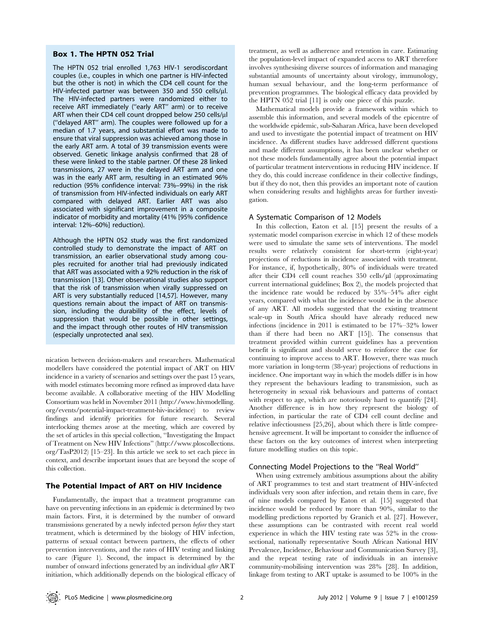## Box 1. The HPTN 052 Trial

The HPTN 052 trial enrolled 1,763 HIV-1 serodiscordant couples (i.e., couples in which one partner is HIV-infected but the other is not) in which the CD4 cell count for the HIV-infected partner was between 350 and 550 cells/µl. The HIV-infected partners were randomized either to receive ART immediately (''early ART'' arm) or to receive ART when their CD4 cell count dropped below 250 cells/ $\mu$ l (''delayed ART'' arm). The couples were followed up for a median of 1.7 years, and substantial effort was made to ensure that viral suppression was achieved among those in the early ART arm. A total of 39 transmission events were observed. Genetic linkage analysis confirmed that 28 of these were linked to the stable partner. Of these 28 linked transmissions, 27 were in the delayed ART arm and one was in the early ART arm, resulting in an estimated 96% reduction (95% confidence interval: 73%–99%) in the risk of transmission from HIV-infected individuals on early ART compared with delayed ART. Earlier ART was also associated with significant improvement in a composite indicator of morbidity and mortality (41% [95% confidence interval: 12%–60%] reduction).

Although the HPTN 052 study was the first randomized controlled study to demonstrate the impact of ART on transmission, an earlier observational study among couples recruited for another trial had previously indicated that ART was associated with a 92% reduction in the risk of transmission [13]. Other observational studies also support that the risk of transmission when virally suppressed on ART is very substantially reduced [14,57]. However, many questions remain about the impact of ART on transmission, including the durability of the effect, levels of suppression that would be possible in other settings, and the impact through other routes of HIV transmission (especially unprotected anal sex).

nication between decision-makers and researchers. Mathematical modellers have considered the potential impact of ART on HIV incidence in a variety of scenarios and settings over the past 15 years, with model estimates becoming more refined as improved data have become available. A collaborative meeting of the HIV Modelling Consortium was held in November 2011 (http://www.hivmodelling. org/events/potential-impact-treatment-hiv-incidence) to review findings and identify priorities for future research. Several interlocking themes arose at the meeting, which are covered by the set of articles in this special collection, ''Investigating the Impact of Treatment on New HIV Infections'' (http://www.ploscollections. org/TasP2012) [15–23]. In this article we seek to set each piece in context, and describe important issues that are beyond the scope of this collection.

## The Potential Impact of ART on HIV Incidence

Fundamentally, the impact that a treatment programme can have on preventing infections in an epidemic is determined by two main factors. First, it is determined by the number of onward transmissions generated by a newly infected person before they start treatment, which is determined by the biology of HIV infection, patterns of sexual contact between partners, the effects of other prevention interventions, and the rates of HIV testing and linking to care (Figure 1). Second, the impact is determined by the number of onward infections generated by an individual after ART initiation, which additionally depends on the biological efficacy of treatment, as well as adherence and retention in care. Estimating the population-level impact of expanded access to ART therefore involves synthesising diverse sources of information and managing substantial amounts of uncertainty about virology, immunology, human sexual behaviour, and the long-term performance of prevention programmes. The biological efficacy data provided by the HPTN 052 trial [11] is only one piece of this puzzle.

Mathematical models provide a framework within which to assemble this information, and several models of the epicentre of the worldwide epidemic, sub-Saharan Africa, have been developed and used to investigate the potential impact of treatment on HIV incidence. As different studies have addressed different questions and made different assumptions, it has been unclear whether or not these models fundamentally agree about the potential impact of particular treatment interventions in reducing HIV incidence. If they do, this could increase confidence in their collective findings, but if they do not, then this provides an important note of caution when considering results and highlights areas for further investigation.

## A Systematic Comparison of 12 Models

In this collection, Eaton et al. [15] present the results of a systematic model comparison exercise in which 12 of these models were used to simulate the same sets of interventions. The model results were relatively consistent for short-term (eight-year) projections of reductions in incidence associated with treatment. For instance, if, hypothetically, 80% of individuals were treated after their CD4 cell count reaches 350 cells/µl (approximating current international guidelines; Box 2), the models projected that the incidence rate would be reduced by 35%–54% after eight years, compared with what the incidence would be in the absence of any ART. All models suggested that the existing treatment scale-up in South Africa should have already reduced new infections (incidence in 2011 is estimated to be 17%–32% lower than if there had been no ART [15]). The consensus that treatment provided within current guidelines has a prevention benefit is significant and should serve to reinforce the case for continuing to improve access to ART. However, there was much more variation in long-term (38-year) projections of reductions in incidence. One important way in which the models differ is in how they represent the behaviours leading to transmission, such as heterogeneity in sexual risk behaviours and patterns of contact with respect to age, which are notoriously hard to quantify [24]. Another difference is in how they represent the biology of infection, in particular the rate of CD4 cell count decline and relative infectiousness [25,26], about which there is little comprehensive agreement. It will be important to consider the influence of these factors on the key outcomes of interest when interpreting future modelling studies on this topic.

## Connecting Model Projections to the ''Real World''

When using extremely ambitious assumptions about the ability of ART programmes to test and start treatment of HIV-infected individuals very soon after infection, and retain them in care, five of nine models compared by Eaton et al. [15] suggested that incidence would be reduced by more than 90%, similar to the modelling predictions reported by Granich et al. [27]. However, these assumptions can be contrasted with recent real world experience in which the HIV testing rate was 52% in the crosssectional, nationally representative South African National HIV Prevalence, Incidence, Behaviour and Communication Survey [3], and the repeat testing rate of individuals in an intensive community-mobilising intervention was 28% [28]. In addition, linkage from testing to ART uptake is assumed to be 100% in the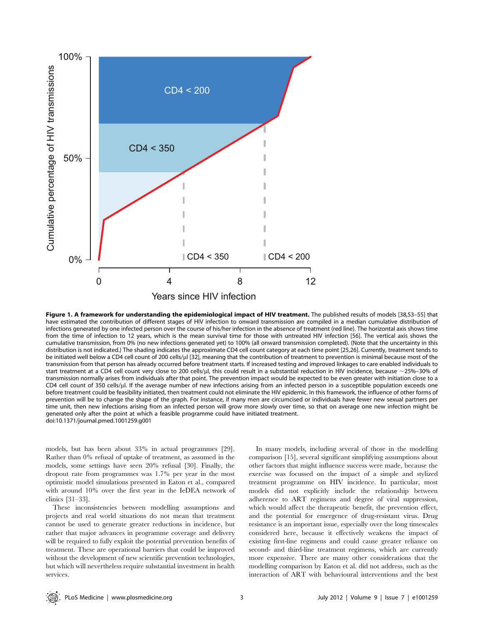

Figure 1. A framework for understanding the epidemiological impact of HIV treatment. The published results of models [38,53-55] that have estimated the contribution of different stages of HIV infection to onward transmission are compiled in a median cumulative distribution of infections generated by one infected person over the course of his/her infection in the absence of treatment (red line). The horizontal axis shows time from the time of infection to 12 years, which is the mean survival time for those with untreated HIV infection [56]. The vertical axis shows the cumulative transmission, from 0% (no new infections generated yet) to 100% (all onward transmission completed). (Note that the uncertainty in this distribution is not indicated.) The shading indicates the approximate CD4 cell count category at each time point [25,26]. Currently, treatment tends to be initiated well below a CD4 cell count of 200 cells/µl [32], meaning that the contribution of treatment to prevention is minimal because most of the transmission from that person has already occurred before treatment starts. If increased testing and improved linkages to care enabled individuals to start treatment at a CD4 cell count very close to 200 cells/µl, this could result in a substantial reduction in HIV incidence, because  $\sim$ 25%–30% of transmission normally arises from individuals after that point. The prevention impact would be expected to be even greater with initiation close to a CD4 cell count of 350 cells/ $\mu$ l. If the average number of new infections arising from an infected person in a susceptible population exceeds one before treatment could be feasibility initiated, then treatment could not eliminate the HIV epidemic. In this framework, the influence of other forms of prevention will be to change the shape of the graph. For instance, if many men are circumcised or individuals have fewer new sexual partners per time unit, then new infections arising from an infected person will grow more slowly over time, so that on average one new infection might be generated only after the point at which a feasible programme could have initiated treatment. doi:10.1371/journal.pmed.1001259.g001

models, but has been about 33% in actual programmes [29]. Rather than 0% refusal of uptake of treatment, as assumed in the models, some settings have seen 20% refusal [30]. Finally, the dropout rate from programmes was 1.7% per year in the most optimistic model simulations presented in Eaton et al., compared with around 10% over the first year in the IeDEA network of clinics [31–33].

These inconsistencies between modelling assumptions and projects and real world situations do not mean that treatment cannot be used to generate greater reductions in incidence, but rather that major advances in programme coverage and delivery will be required to fully exploit the potential prevention benefits of treatment. These are operational barriers that could be improved without the development of new scientific prevention technologies, but which will nevertheless require substantial investment in health services.

In many models, including several of those in the modelling comparison [15], several significant simplifying assumptions about other factors that might influence success were made, because the exercise was focussed on the impact of a simple and stylized treatment programme on HIV incidence. In particular, most models did not explicitly include the relationship between adherence to ART regimens and degree of viral suppression, which would affect the therapeutic benefit, the prevention effect, and the potential for emergence of drug-resistant virus. Drug resistance is an important issue, especially over the long timescales considered here, because it effectively weakens the impact of existing first-line regimens and could cause greater reliance on second- and third-line treatment regimens, which are currently more expensive. There are many other considerations that the modelling comparison by Eaton et al. did not address, such as the interaction of ART with behavioural interventions and the best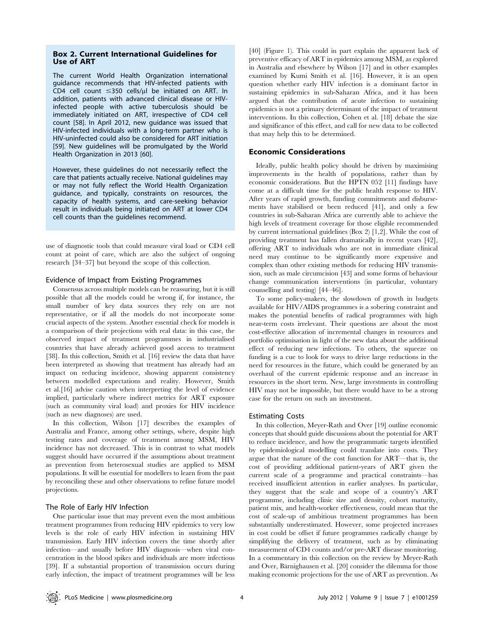## Box 2. Current International Guidelines for Use of ART

The current World Health Organization international guidance recommends that HIV-infected patients with CD4 cell count  $\leq$ 350 cells/µl be initiated on ART. In addition, patients with advanced clinical disease or HIVinfected people with active tuberculosis should be immediately initiated on ART, irrespective of CD4 cell count [58]. In April 2012, new guidance was issued that HIV-infected individuals with a long-term partner who is HIV-uninfected could also be considered for ART initiation [59]. New guidelines will be promulgated by the World Health Organization in 2013 [60].

However, these guidelines do not necessarily reflect the care that patients actually receive. National guidelines may or may not fully reflect the World Health Organization guidance, and typically, constraints on resources, the capacity of health systems, and care-seeking behavior result in individuals being initiated on ART at lower CD4 cell counts than the guidelines recommend.

use of diagnostic tools that could measure viral load or CD4 cell count at point of care, which are also the subject of ongoing research [34–37] but beyond the scope of this collection.

## Evidence of Impact from Existing Programmes

Consensus across multiple models can be reassuring, but it is still possible that all the models could be wrong if, for instance, the small number of key data sources they rely on are not representative, or if all the models do not incorporate some crucial aspects of the system. Another essential check for models is a comparison of their projections with real data: in this case, the observed impact of treatment programmes in industrialised countries that have already achieved good access to treatment [38]. In this collection, Smith et al. [16] review the data that have been interpreted as showing that treatment has already had an impact on reducing incidence, showing apparent consistency between modelled expectations and reality. However, Smith et al.[16] advise caution when interpreting the level of evidence implied, particularly where indirect metrics for ART exposure (such as community viral load) and proxies for HIV incidence (such as new diagnoses) are used.

In this collection, Wilson [17] describes the examples of Australia and France, among other settings, where, despite high testing rates and coverage of treatment among MSM, HIV incidence has not decreased. This is in contrast to what models suggest should have occurred if the assumptions about treatment as prevention from heterosexual studies are applied to MSM populations. It will be essential for modellers to learn from the past by reconciling these and other observations to refine future model projections.

## The Role of Early HIV Infection

One particular issue that may prevent even the most ambitious treatment programmes from reducing HIV epidemics to very low levels is the role of early HIV infection in sustaining HIV transmission. Early HIV infection covers the time shortly after infection—and usually before HIV diagnosis—when viral concentration in the blood spikes and individuals are more infectious [39]. If a substantial proportion of transmission occurs during early infection, the impact of treatment programmes will be less [40] (Figure 1). This could in part explain the apparent lack of preventive efficacy of ART in epidemics among MSM, as explored in Australia and elsewhere by Wilson [17] and in other examples examined by Kumi Smith et al. [16]. However, it is an open question whether early HIV infection is a dominant factor in sustaining epidemics in sub-Saharan Africa, and it has been argued that the contribution of acute infection to sustaining epidemics is not a primary determinant of the impact of treatment interventions. In this collection, Cohen et al. [18] debate the size and significance of this effect, and call for new data to be collected that may help this to be determined.

## Economic Considerations

Ideally, public health policy should be driven by maximising improvements in the health of populations, rather than by economic considerations. But the HPTN 052 [11] findings have come at a difficult time for the public health response to HIV. After years of rapid growth, funding commitments and disbursements have stabilised or been reduced [41], and only a few countries in sub-Saharan Africa are currently able to achieve the high levels of treatment coverage for those eligible recommended by current international guidelines (Box 2) [1,2]. While the cost of providing treatment has fallen dramatically in recent years [42], offering ART to individuals who are not in immediate clinical need may continue to be significantly more expensive and complex than other existing methods for reducing HIV transmission, such as male circumcision [43] and some forms of behaviour change communication interventions (in particular, voluntary counselling and testing) [44–46].

To some policy-makers, the slowdown of growth in budgets available for HIV/AIDS programmes is a sobering constraint and makes the potential benefits of radical programmes with high near-term costs irrelevant. Their questions are about the most cost-effective allocation of incremental changes in resources and portfolio optimisation in light of the new data about the additional effect of reducing new infections. To others, the squeeze on funding is a cue to look for ways to drive large reductions in the need for resources in the future, which could be generated by an overhaul of the current epidemic response and an increase in resources in the short term. New, large investments in controlling HIV may not be impossible, but there would have to be a strong case for the return on such an investment.

## Estimating Costs

In this collection, Meyer-Rath and Over [19] outline economic concepts that should guide discussions about the potential for ART to reduce incidence, and how the programmatic targets identified by epidemiological modelling could translate into costs. They argue that the nature of the cost function for ART—that is, the cost of providing additional patient-years of ART given the current scale of a programme and practical constraints—has received insufficient attention in earlier analyses. In particular, they suggest that the scale and scope of a country's ART programme, including clinic size and density, cohort maturity, patient mix, and health-worker effectiveness, could mean that the cost of scale-up of ambitious treatment programmes has been substantially underestimated. However, some projected increases in cost could be offset if future programmes radically change by simplifying the delivery of treatment, such as by eliminating measurement of CD4 counts and/or pre-ART disease monitoring. In a commentary in this collection on the review by Meyer-Rath and Over, Bärnighausen et al. [20] consider the dilemma for those making economic projections for the use of ART as prevention. As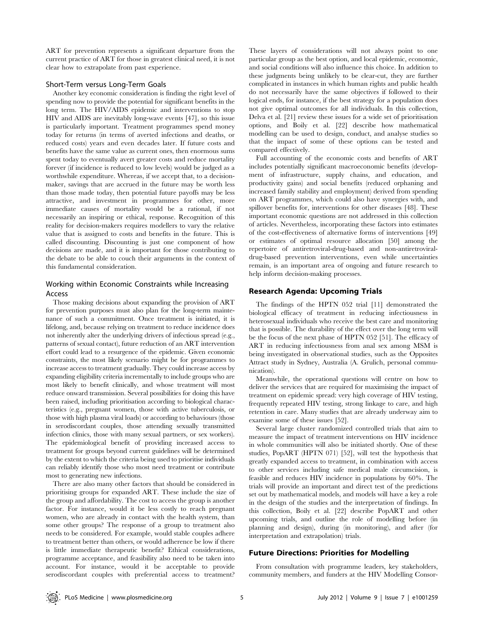ART for prevention represents a significant departure from the current practice of ART for those in greatest clinical need, it is not clear how to extrapolate from past experience.

## Short-Term versus Long-Term Goals

Another key economic consideration is finding the right level of spending now to provide the potential for significant benefits in the long term. The HIV/AIDS epidemic and interventions to stop HIV and AIDS are inevitably long-wave events [47], so this issue is particularly important. Treatment programmes spend money today for returns (in terms of averted infections and deaths, or reduced costs) years and even decades later. If future costs and benefits have the same value as current ones, then enormous sums spent today to eventually avert greater costs and reduce mortality forever (if incidence is reduced to low levels) would be judged as a worthwhile expenditure. Whereas, if we accept that, to a decisionmaker, savings that are accrued in the future may be worth less than those made today, then potential future payoffs may be less attractive, and investment in programmes for other, more immediate causes of mortality would be a rational, if not necessarily an inspiring or ethical, response. Recognition of this reality for decision-makers requires modellers to vary the relative value that is assigned to costs and benefits in the future. This is called discounting. Discounting is just one component of how decisions are made, and it is important for those contributing to the debate to be able to couch their arguments in the context of this fundamental consideration.

# Working within Economic Constraints while Increasing Access

Those making decisions about expanding the provision of ART for prevention purposes must also plan for the long-term maintenance of such a commitment. Once treatment is initiated, it is lifelong, and, because relying on treatment to reduce incidence does not inherently alter the underlying drivers of infectious spread (e.g., patterns of sexual contact), future reduction of an ART intervention effort could lead to a resurgence of the epidemic. Given economic constraints, the most likely scenario might be for programmes to increase access to treatment gradually. They could increase access by expanding eligibility criteria incrementally to include groups who are most likely to benefit clinically, and whose treatment will most reduce onward transmission. Several possibilities for doing this have been raised, including prioritisation according to biological characteristics (e.g., pregnant women, those with active tuberculosis, or those with high plasma viral loads) or according to behaviours (those in serodiscordant couples, those attending sexually transmitted infection clinics, those with many sexual partners, or sex workers). The epidemiological benefit of providing increased access to treatment for groups beyond current guidelines will be determined by the extent to which the criteria being used to prioritise individuals can reliably identify those who most need treatment or contribute most to generating new infections.

There are also many other factors that should be considered in prioritising groups for expanded ART. These include the size of the group and affordability. The cost to access the group is another factor. For instance, would it be less costly to reach pregnant women, who are already in contact with the health system, than some other groups? The response of a group to treatment also needs to be considered. For example, would stable couples adhere to treatment better than others, or would adherence be low if there is little immediate therapeutic benefit? Ethical considerations, programme acceptance, and feasibility also need to be taken into account. For instance, would it be acceptable to provide serodiscordant couples with preferential access to treatment?

These layers of considerations will not always point to one particular group as the best option, and local epidemic, economic, and social conditions will also influence this choice. In addition to these judgments being unlikely to be clear-cut, they are further complicated in instances in which human rights and public health do not necessarily have the same objectives if followed to their logical ends, for instance, if the best strategy for a population does not give optimal outcomes for all individuals. In this collection, Delva et al. [21] review these issues for a wide set of prioritisation options, and Boily et al. [22] describe how mathematical modelling can be used to design, conduct, and analyse studies so that the impact of some of these options can be tested and compared effectively.

Full accounting of the economic costs and benefits of ART includes potentially significant macroeconomic benefits (development of infrastructure, supply chains, and education, and productivity gains) and social benefits (reduced orphaning and increased family stability and employment) derived from spending on ART programmes, which could also have synergies with, and spillover benefits for, interventions for other diseases [48]. These important economic questions are not addressed in this collection of articles. Nevertheless, incorporating these factors into estimates of the cost-effectiveness of alternative forms of interventions [49] or estimates of optimal resource allocation [50] among the repertoire of antiretroviral-drug-based and non-antiretroviraldrug-based prevention interventions, even while uncertainties remain, is an important area of ongoing and future research to help inform decision-making processes.

# Research Agenda: Upcoming Trials

The findings of the HPTN 052 trial [11] demonstrated the biological efficacy of treatment in reducing infectiousness in heterosexual individuals who receive the best care and monitoring that is possible. The durability of the effect over the long term will be the focus of the next phase of HPTN 052 [51]. The efficacy of ART in reducing infectiousness from anal sex among MSM is being investigated in observational studies, such as the Opposites Attract study in Sydney, Australia (A. Grulich, personal communication).

Meanwhile, the operational questions will centre on how to deliver the services that are required for maximising the impact of treatment on epidemic spread: very high coverage of HIV testing, frequently repeated HIV testing, strong linkage to care, and high retention in care. Many studies that are already underway aim to examine some of these issues [52].

Several large cluster randomized controlled trials that aim to measure the impact of treatment interventions on HIV incidence in whole communities will also be initiated shortly. One of these studies, PopART (HPTN 071) [52], will test the hypothesis that greatly expanded access to treatment, in combination with access to other services including safe medical male circumcision, is feasible and reduces HIV incidence in populations by 60%. The trials will provide an important and direct test of the predictions set out by mathematical models, and models will have a key a role in the design of the studies and the interpretation of findings. In this collection, Boily et al. [22] describe PopART and other upcoming trials, and outline the role of modelling before (in planning and design), during (in monitoring), and after (for interpretation and extrapolation) trials.

## Future Directions: Priorities for Modelling

From consultation with programme leaders, key stakeholders, community members, and funders at the HIV Modelling Consor-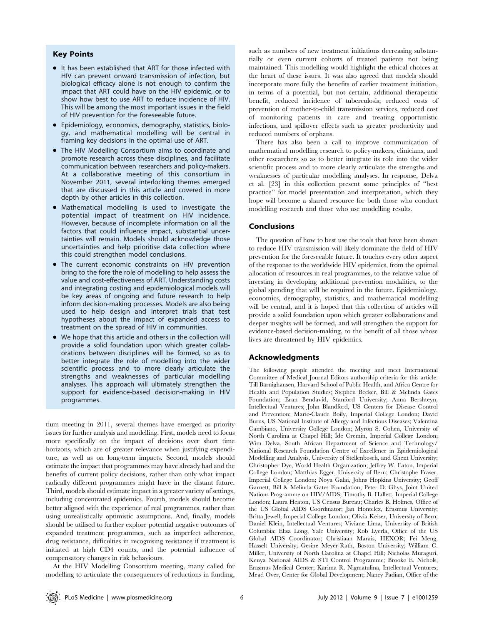# Key Points

- $\bullet$  It has been established that ART for those infected with HIV can prevent onward transmission of infection, but biological efficacy alone is not enough to confirm the impact that ART could have on the HIV epidemic, or to show how best to use ART to reduce incidence of HIV. This will be among the most important issues in the field of HIV prevention for the foreseeable future.
- Epidemiology, economics, demography, statistics, biology, and mathematical modelling will be central in framing key decisions in the optimal use of ART.
- The HIV Modelling Consortium aims to coordinate and promote research across these disciplines, and facilitate communication between researchers and policy-makers. At a collaborative meeting of this consortium in November 2011, several interlocking themes emerged that are discussed in this article and covered in more depth by other articles in this collection.
- Mathematical modelling is used to investigate the potential impact of treatment on HIV incidence. However, because of incomplete information on all the factors that could influence impact, substantial uncertainties will remain. Models should acknowledge those uncertainties and help prioritise data collection where this could strengthen model conclusions.
- The current economic constraints on HIV prevention bring to the fore the role of modelling to help assess the value and cost-effectiveness of ART. Understanding costs and integrating costing and epidemiological models will be key areas of ongoing and future research to help inform decision-making processes. Models are also being used to help design and interpret trials that test hypotheses about the impact of expanded access to treatment on the spread of HIV in communities.
- $\bullet$  We hope that this article and others in the collection will provide a solid foundation upon which greater collaborations between disciplines will be formed, so as to better integrate the role of modelling into the wider scientific process and to more clearly articulate the strengths and weaknesses of particular modelling analyses. This approach will ultimately strengthen the support for evidence-based decision-making in HIV programmes.

tium meeting in 2011, several themes have emerged as priority issues for further analysis and modelling. First, models need to focus more specifically on the impact of decisions over short time horizons, which are of greater relevance when justifying expenditure, as well as on long-term impacts. Second, models should estimate the impact that programmes may have already had and the benefits of current policy decisions, rather than only what impact radically different programmes might have in the distant future. Third, models should estimate impact in a greater variety of settings, including concentrated epidemics. Fourth, models should become better aligned with the experience of real programmes, rather than using unrealistically optimistic assumptions. And, finally, models should be utilised to further explore potential negative outcomes of expanded treatment programmes, such as imperfect adherence, drug resistance, difficulties in recognising resistance if treatment is initiated at high CD4 counts, and the potential influence of compensatory changes in risk behaviours.

At the HIV Modelling Consortium meeting, many called for modelling to articulate the consequences of reductions in funding,

such as numbers of new treatment initiations decreasing substantially or even current cohorts of treated patients not being maintained. This modelling would highlight the ethical choices at the heart of these issues. It was also agreed that models should incorporate more fully the benefits of earlier treatment initiation, in terms of a potential, but not certain, additional therapeutic benefit, reduced incidence of tuberculosis, reduced costs of prevention of mother-to-child transmission services, reduced cost of monitoring patients in care and treating opportunistic infections, and spillover effects such as greater productivity and reduced numbers of orphans.

There has also been a call to improve communication of mathematical modelling research to policy-makers, clinicians, and other researchers so as to better integrate its role into the wider scientific process and to more clearly articulate the strengths and weaknesses of particular modelling analyses. In response, Delva et al. [23] in this collection present some principles of ''best practice'' for model presentation and interpretation, which they hope will become a shared resource for both those who conduct modelling research and those who use modelling results.

## Conclusions

The question of how to best use the tools that have been shown to reduce HIV transmission will likely dominate the field of HIV prevention for the foreseeable future. It touches every other aspect of the response to the worldwide HIV epidemics, from the optimal allocation of resources in real programmes, to the relative value of investing in developing additional prevention modalities, to the global spending that will be required in the future. Epidemiology, economics, demography, statistics, and mathematical modelling will be central, and it is hoped that this collection of articles will provide a solid foundation upon which greater collaborations and deeper insights will be formed, and will strengthen the support for evidence-based decision-making, to the benefit of all those whose lives are threatened by HIV epidemics.

# Acknowledgments

The following people attended the meeting and meet International Committee of Medical Journal Editors authorship criteria for this article: Till Bärnighausen, Harvard School of Public Health, and Africa Centre for Health and Population Studies; Stephen Becker, Bill & Melinda Gates Foundation; Eran Bendavid, Stanford University; Anna Bershteyn, Intellectual Ventures; John Blandford, US Centers for Disease Control and Prevention; Marie-Claude Boily, Imperial College London; David Burns, US National Institute of Allergy and Infectious Diseases; Valentina Cambiano, University College London; Myron S. Cohen, University of North Carolina at Chapel Hill; Ide Cremin, Imperial College London; Wim Delva, South African Department of Science and Technology/ National Research Foundation Centre of Excellence in Epidemiological Modelling and Analysis, University of Stellenbosch, and Ghent University; Christopher Dye, World Health Organization; Jeffrey W. Eaton, Imperial College London; Matthias Egger, University of Bern; Christophe Fraser, Imperial College London; Noya Galai, Johns Hopkins University; Geoff Garnett, Bill & Melinda Gates Foundation; Peter D. Ghys, Joint United Nations Programme on HIV/AIDS; Timothy B. Hallett, Imperial College London; Laura Heaton, US Census Bureau; Charles B. Holmes, Office of the US Global AIDS Coordinator; Jan Hontelez, Erasmus University; Britta Jewell, Imperial College London; Olivia Keiser, University of Bern; Daniel Klein, Intellectual Ventures; Viviane Lima, University of British Columbia; Elisa Long, Yale University; Rob Lyerla, Office of the US Global AIDS Coordinator; Christiaan Marais, HEXOR; Fei Meng, Hasselt University; Gesine Meyer-Rath, Boston University; William C. Miller, University of North Carolina at Chapel Hill; Nicholas Muraguri, Kenya National AIDS & STI Control Programme; Brooke E. Nichols, Erasmus Medical Center; Karima R. Nigmatulina, Intellectual Ventures; Mead Over, Center for Global Development; Nancy Padian, Office of the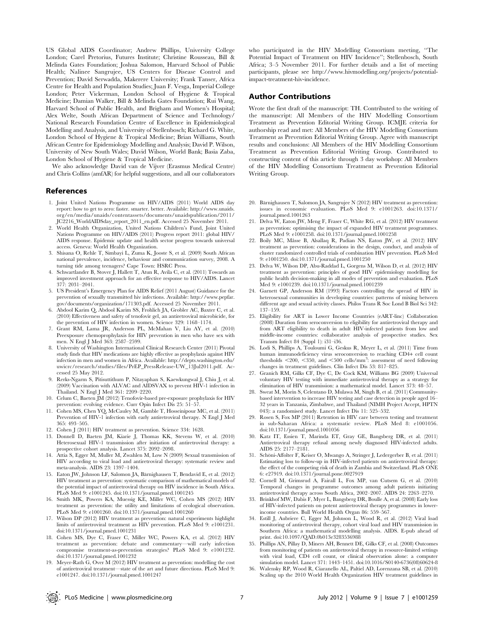US Global AIDS Coordinator; Andrew Phillips, University College London; Carel Pretorius, Futures Institute; Christine Rousseau, Bill & Melinda Gates Foundation; Joshua Salomon, Harvard School of Public Health; Nalinee Sangrujee, US Centers for Disease Control and Prevention; David Serwadda, Makerere University; Frank Tanser, Africa Centre for Health and Population Studies; Juan F. Vesga, Imperial College London; Peter Vickerman, London School of Hygiene & Tropical Medicine; Damian Walker, Bill & Melinda Gates Foundation; Rui Wang, Harvard School of Public Health, and Brigham and Women's Hospital; Alex Welte, South African Department of Science and Technology/ National Research Foundation Centre of Excellence in Epidemiological Modelling and Analysis, and University of Stellenbosch; Richard G. White, London School of Hygiene & Tropical Medicine; Brian Williams, South African Centre for Epidemiology Modelling and Analysis; David P. Wilson, University of New South Wales; David Wilson, World Bank; Basia Zaba, London School of Hygiene & Tropical Medicine.

We also acknowledge David van de Vijver (Erasmus Medical Centre) and Chris Collins (amfAR) for helpful suggestions, and all our collaborators

#### References

- 1. Joint United Nations Programme on HIV/AIDS (2011) World AIDS day report: how to get to zero: faster. smarter. better. Available: http://www.unaids. org/en/media/unaids/contentassets/documents/unaidspublication/2011/ JC2216\_WorldAIDSday\_report\_2011\_en.pdf. Accessed 25 November 2011.
- 2. World Health Organization, United Nations Children's Fund, Joint United Nations Programme on HIV/AIDS (2011) Progress report 2011: global HIV/ AIDS response. Epidemic update and health sector progress towards universal access. Geneva: World Health Organization.
- 3. Shisana O, Rehle T, Simbayi L, Zuma K, Jooste S, et al. (2009) South African national prevalence, incidence, behaviour and communication survey, 2008. A turning tide among teenagers? Cape Town: HSRC Press.
- 4. Schwartlander B, Stover J, Hallett T, Atun R, Avila C, et al. (2011) Towards an improved investment approach for an effective response to HIV/AIDS. Lancet 377: 2031–2041.
- 5. US President's Emergency Plan for AIDS Relief (2011 August) Guidance for the prevention of sexually transmitted hiv infections. Available: http://www.pepfar. gov/documents/organization/171303.pdf. Accessed 25 November 2011.
- 6. Abdool Karim Q, Abdool Karim SS, Frohlich JA, Grobler AC, Baxter C, et al. (2010) Effectiveness and safety of tenofovir gel, an antiretroviral microbicide, for the prevention of HIV infection in women. Science 329: 1168–1174.
- 7. Grant RM, Lama JR, Anderson PL, McMahan V, Liu AY, et al. (2010) Preexposure chemoprophylaxis for HIV prevention in men who have sex with men. N Engl J Med 363: 2587–2599.
- 8. University of Washington International Clinical Research Center (2011) Pivotal study finds that HIV medications are highly effective as prophylaxis against HIV infection in men and women in Africa. Available: http://depts.washington.edu/ uwicrc/research/studies/files/PrEP\_PressRelease-UW\_13Jul2011.pdf. Accessed 25 May 2012.
- 9. Rerks-Ngarm S, Pitisuttithum P, Nitayaphan S, Kaewkungwal J, Chiu J, et al. (2009) Vaccination with ALVAC and AIDSVAX to prevent HIV-1 infection in Thailand. N Engl J Med 361: 2209–2220.
- 10. Celum C, Baeten JM (2012) Tenofovir-based pre-exposure prophylaxis for HIV prevention: evolving evidence. Curr Opin Infect Dis 25: 51–57.
- 11. Cohen MS, Chen YQ, McCauley M, Gamble T, Hosseinipour MC, et al. (2011) Prevention of HIV-1 infection with early antiretroviral therapy. N Engl J Med 365: 493–505.
- 12. Cohen J (2011) HIV treatment as prevention. Science 334: 1628.
- 13. Donnell D, Baeten JM, Kiarie J, Thomas KK, Stevens W, et al. (2010) Heterosexual HIV-1 transmission after initiation of antiretroviral therapy: a prospective cohort analysis. Lancet 375: 2092–2098.
- Attia S, Egger M, Muller M, Zwahlen M, Low N (2009) Sexual transmission of HIV according to viral load and antiretroviral therapy: systematic review and meta-analysis. AIDS 23: 1397–1404.
- 15. Eaton JW, Johnson LF, Salomon JA, Bärnighausen T, Bendavid E, et al. (2012) HIV treatment as prevention: systematic comparison of mathematical models of the potential impact of antiretroviral therapy on HIV incidence in South Africa. PLoS Med 9: e1001245. doi:10.1371/journal.pmed.1001245
- 16. Smith MK, Powers KA, Muessig KE, Miller WC, Cohen MS (2012) HIV treatment as prevention: the utility and limitations of ecological observation. PLoS Med 9: e1001260. doi:10.1371/journal.pmed.1001260
- 17. Wilson DP (2012) HIV treatment as prevention: natural experiments highlight limits of antiretroviral treatment as HIV prevention. PLoS Med 9: e1001231. doi:10.1371/journal.pmed.1001231
- 18. Cohen MS, Dye C, Fraser C, Miller WC, Powers KA, et al. (2012) HIV treatment as prevention: debate and commentary—will early infection compromise treatment-as-prevention strategies? PLoS Med 9: e1001232. doi:10.1371/journal.pmed.1001232
- 19. Meyer-Rath G, Over M (2012) HIV treatment as prevention: modelling the cost of antiretroviral treatment—state of the art and future directions. PLoS Med 9: e1001247. doi:10.1371/journal.pmed.1001247

who participated in the HIV Modelling Consortium meeting, ''The Potential Impact of Treatment on HIV Incidence''; Stellenbosch, South Africa; 3–5 November 2011. For further details and a list of meeting participants, please see http://www.hivmodelling.org/projects/potentialimpact-treatment-hiv-incidence.

## Author Contributions

Wrote the first draft of the manuscript: TH. Contributed to the writing of the manuscript: All Members of the HIV Modelling Consortium Treatment as Prevention Editorial Writing Group. ICMJE criteria for authorship read and met: All Members of the HIV Modelling Consortium Treatment as Prevention Editorial Writing Group. Agree with manuscript results and conclusions: All Members of the HIV Modelling Consortium Treatment as Prevention Editorial Writing Group. Contributed to constructing content of this article through 3 day workshop: All Members of the HIV Modelling Consortium Treatment as Prevention Editorial Writing Group.

- 20. Bärnighausen T, Salomon JA, Sangrujee N (2012) HIV treatment as prevention: issues in economic evaluation. PLoS Med 9: e1001263. doi:10.1371/ journal.pmed.1001263
- 21. Delva W, Eaton JW, Meng F, Fraser C, White RG, et al. (2012) HIV treatment as prevention: optimising the impact of expanded HIV treatment programmes. PLoS Med 9: e1001258. doi:10.1371/journal.pmed.1001258
- 22. Boily MC, Mâsse B, Alsallaq R, Padian NS, Eaton JW, et al. (2012) HIV treatment as prevention: considerations in the design, conduct, and analysis of cluster randomized controlled trials of combination HIV prevention. PLoS Med 9: e1001250. doi:10.1371/journal.pmed.1001250
- 23. Delva W, Wilson DP, Abu-Raddad L, Gorgens M, Wilson D, et al. (2012) HIV treatment as prevention: principles of good HIV epidemiology modelling for public health decision-making in all modes of prevention and evaluation. PLoS Med 9: e1001239. doi:10.1371/journal.pmed.1001239
- 24. Garnett GP, Anderson RM (1993) Factors controlling the spread of HIV in heterosexual communities in developing countries: patterns of mixing between different age and sexual activity classes. Philos Trans R Soc Lond B Biol Sci 342: 137–159.
- 25. Eligibility for ART in Lower Income Countries (eART-linc) Collaboration (2008) Duration from seroconversion to eligibility for antiretroviral therapy and from ART eligibility to death in adult HIV-infected patients from low and middle-income countries: collaborative analysis of prospective studies. Sex Transm Infect 84 (Suppl 1): i31–i36.
- 26. Lodi S, Phillips A, Touloumi G, Geskus R, Meyer L, et al. (2011) Time from human immunodeficiency virus seroconversion to reaching CD4+ cell count thresholds <200, <350, and <500 cells/mm<sup>3</sup>: assessment of need following changes in treatment guidelines. Clin Infect Dis 53: 817–825.
- 27. Granich RM, Gilks CF, Dye C, De Cock KM, Williams BG (2009) Universal voluntary HIV testing with immediate antiretroviral therapy as a strategy for elimination of HIV transmission: a mathematical model. Lancet 373: 48–57.
- 28. Sweat M, Morin S, Celentano D, Mulawa M, Singh B, et al. (2011) Communitybased intervention to increase HIV testing and case detection in people aged 16– 32 years in Tanzania, Zimbabwe, and Thailand (NIMH Project Accept, HPTN 043): a randomised study. Lancet Infect Dis 11: 525–532.
- 29. Rosen S, Fox MP (2011) Retention in HIV care between testing and treatment in sub-Saharan Africa: a systematic review. PLoS Med 8: e1001056. doi:10.1371/journal.pmed.1001056
- 30. Katz IT, Essien T, Marinda ET, Gray GE, Bangsberg DR, et al. (2011) Antiretroviral therapy refusal among newly diagnosed HIV-infected adults. AIDS 25: 2177–2181.
- 31. Schöni-Affolter F, Keiser O, Mwango A, Stringer J, Ledergerber B, et al. (2011) Estimating loss to follow-up in HIV-infected patients on antiretroviral therapy: the effect of the competing risk of death in Zambia and Switzerland. PLoS ONE 6: e27919. doi:10.1371/journal.pone.0027919
- 32. Cornell M, Grimsrud A, Fairall L, Fox MP, van Cutsem G, et al. (2010) Temporal changes in programme outcomes among adult patients initiating antiretroviral therapy across South Africa, 2002–2007. AIDS 24: 2263–2270.
- 33. Brinkhof MW, Dabis F, Myer L, Bangsberg DR, Boulle A, et al. (2008) Early loss of HIV-infected patients on potent antiretroviral therapy programmes in lowerincome countries. Bull World Health Organ 86: 559–567.
- 34. Estill J, Aubriere C, Egger M, Johnson L, Wood R, et al. (2012) Viral load monitoring of antiretroviral therapy, cohort viral load and HIV transmission in Southern Africa: a mathematical modelling analysis. AIDS. E-pub ahead of print. doi:10.1097/QAD.0b013e3283536988
- 35. Phillips AN, Pillay D, Miners AH, Bennett DE, Gilks CF, et al. (2008) Outcomes from monitoring of patients on antiretroviral therapy in resource-limited settings with viral load, CD4 cell count, or clinical observation alone: a computer simulation model. Lancet 371: 1443–1451. doi:10.1016/S0140-6736(08)60624-8
- 36. Walensky RP, Wood R, Ciaranello AL, Paltiel AD, Lorenzana SB, et al. (2010) Scaling up the 2010 World Health Organization HIV treatment guidelines in